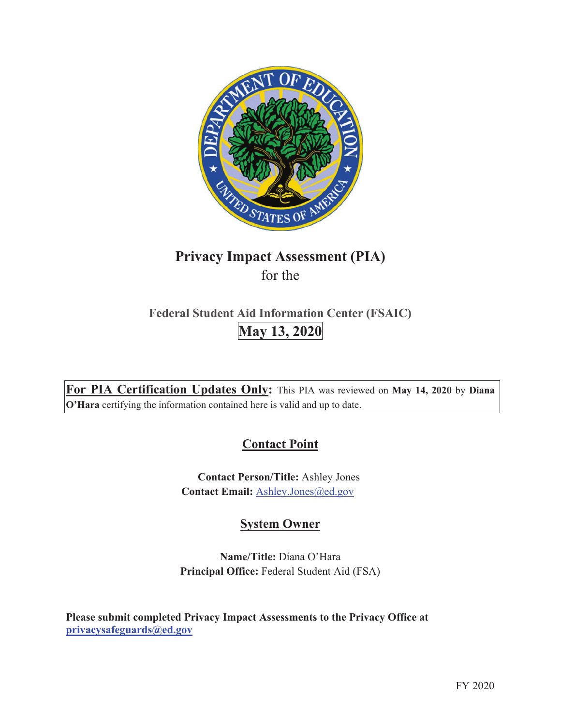

# **Privacy Impact Assessment (PIA)**  for the

# **Federal Student Aid Information Center (FSAIC) May 13, 2020**

**For PIA Certification Updates Only:** This PIA was reviewed on **May 14, 2020** by **Diana O'Hara** certifying the information contained here is valid and up to date.

## **Contact Point**

**Contact Person/Title:** Ashley Jones Contact Email: Ashley.Jones@ed.gov

## **System Owner**

**Name/Title:** Diana O'Hara **Principal Office:** Federal Student Aid (FSA)

**Please submit completed Privacy Impact Assessments to the Privacy Office at privacysafeguards@ed.gov**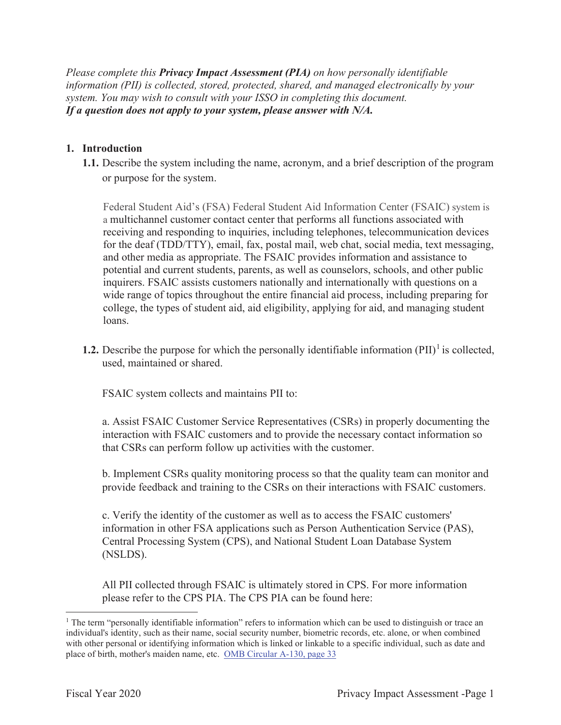*Please complete this Privacy Impact Assessment (PIA) on how personally identifiable information (PII) is collected, stored, protected, shared, and managed electronically by your system. You may wish to consult with your ISSO in completing this document. If a question does not apply to your system, please answer with N/A.*

#### **1. Introduction**

**1.1.** Describe the system including the name, acronym, and a brief description of the program or purpose for the system.

Federal Student Aid's (FSA) Federal Student Aid Information Center (FSAIC) system is a multichannel customer contact center that performs all functions associated with receiving and responding to inquiries, including telephones, telecommunication devices for the deaf (TDD/TTY), email, fax, postal mail, web chat, social media, text messaging, and other media as appropriate. The FSAIC provides information and assistance to potential and current students, parents, as well as counselors, schools, and other public inquirers. FSAIC assists customers nationally and internationally with questions on a wide range of topics throughout the entire financial aid process, including preparing for college, the types of student aid, aid eligibility, applying for aid, and managing student loans.

**1.2.** Describe the purpose for which the personally identifiable information  $(PII)^{1}$  is collected, used, maintained or shared.

FSAIC system collects and maintains PII to:

a. Assist FSAIC Customer Service Representatives (CSRs) in properly documenting the interaction with FSAIC customers and to provide the necessary contact information so that CSRs can perform follow up activities with the customer.

b. Implement CSRs quality monitoring process so that the quality team can monitor and provide feedback and training to the CSRs on their interactions with FSAIC customers.

c. Verify the identity of the customer as well as to access the FSAIC customers' information in other FSA applications such as Person Authentication Service (PAS), Central Processing System (CPS), and National Student Loan Database System (NSLDS).

All PII collected through FSAIC is ultimately stored in CPS. For more information please refer to the CPS PIA. The CPS PIA can be found here:

<sup>&</sup>lt;sup>1</sup> The term "personally identifiable information" refers to information which can be used to distinguish or trace an individual's identity, such as their name, social security number, biometric records, etc. alone, or when combined with other personal or identifying information which is linked or linkable to a specific individual, such as date and place of birth, mother's maiden name, etc. OMB Circular A-130, page 33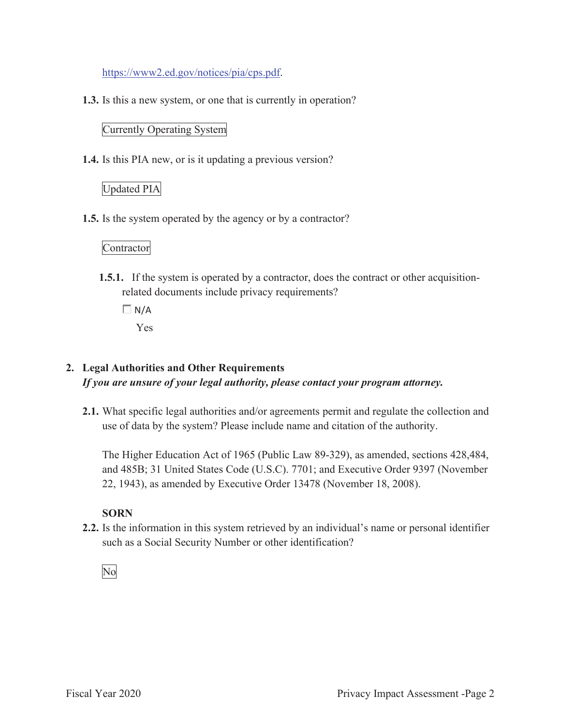https://www2.ed.gov/notices/pia/cps.pdf.

**1.3.** Is this a new system, or one that is currently in operation?

#### Currently Operating System

**1.4.** Is this PIA new, or is it updating a previous version?

#### Updated PIA

**1.5.** Is the system operated by the agency or by a contractor?

#### **Contractor**

- **1.5.1.** If the system is operated by a contractor, does the contract or other acquisitionrelated documents include privacy requirements?
	- $\Box N/A$ Yes

#### **2. Legal Authorities and Other Requirements**  *If you are unsure of your legal authority, please contact your program attorney.*

**2.1.** What specific legal authorities and/or agreements permit and regulate the collection and use of data by the system? Please include name and citation of the authority.

The Higher Education Act of 1965 (Public Law 89-329), as amended, sections 428,484, and 485B; 31 United States Code (U.S.C). 7701; and Executive Order 9397 (November 22, 1943), as amended by Executive Order 13478 (November 18, 2008).

#### **SORN**

**2.2.** Is the information in this system retrieved by an individual's name or personal identifier such as a Social Security Number or other identification?

#### No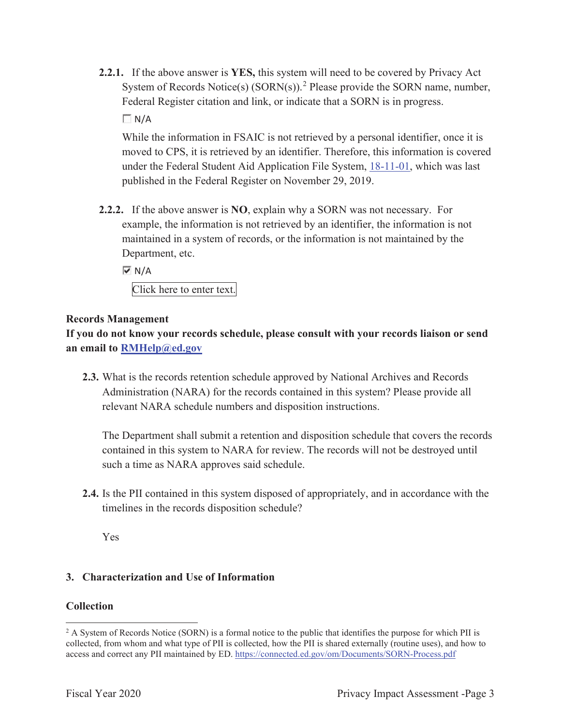**2.2.1.** If the above answer is **YES,** this system will need to be covered by Privacy Act System of Records Notice(s)  $(SORN(s))$ .<sup>2</sup> Please provide the SORN name, number, Federal Register citation and link, or indicate that a SORN is in progress.

 $\Box N/A$ 

While the information in FSAIC is not retrieved by a personal identifier, once it is moved to CPS, it is retrieved by an identifier. Therefore, this information is covered under the Federal Student Aid Application File System, 18-11-01, which was last published in the Federal Register on November 29, 2019.

**2.2.2.** If the above answer is **NO**, explain why a SORN was not necessary. For example, the information is not retrieved by an identifier, the information is not maintained in a system of records, or the information is not maintained by the Department, etc.

 $\overline{M}$  N/A Click here to enter text.

#### **Records Management**

**If you do not know your records schedule, please consult with your records liaison or send an email to RMHelp@ed.gov**

**2.3.** What is the records retention schedule approved by National Archives and Records Administration (NARA) for the records contained in this system? Please provide all relevant NARA schedule numbers and disposition instructions.

The Department shall submit a retention and disposition schedule that covers the records contained in this system to NARA for review. The records will not be destroyed until such a time as NARA approves said schedule.

**2.4.** Is the PII contained in this system disposed of appropriately, and in accordance with the timelines in the records disposition schedule?

Yes

#### **3. Characterization and Use of Information**

#### **Collection**

<sup>&</sup>lt;sup>2</sup> A System of Records Notice (SORN) is a formal notice to the public that identifies the purpose for which PII is collected, from whom and what type of PII is collected, how the PII is shared externally (routine uses), and how to access and correct any PII maintained by ED. https://connected.ed.gov/om/Documents/SORN-Process.pdf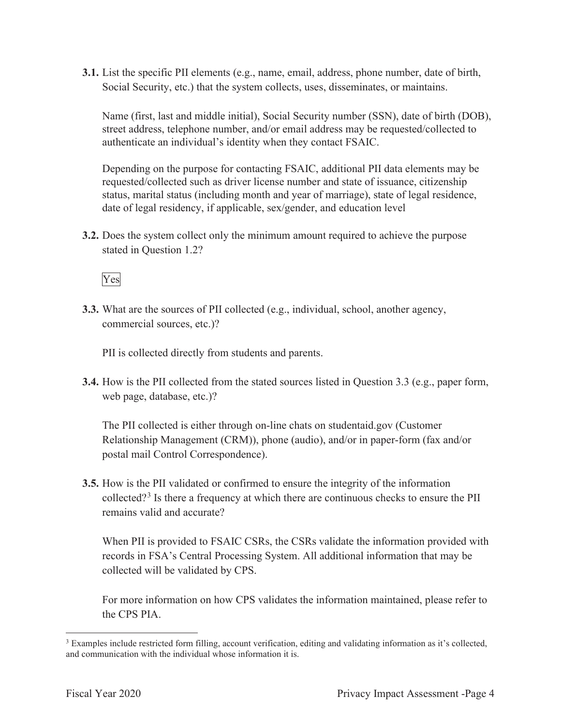**3.1.** List the specific PII elements (e.g., name, email, address, phone number, date of birth, Social Security, etc.) that the system collects, uses, disseminates, or maintains.

Name (first, last and middle initial), Social Security number (SSN), date of birth (DOB), street address, telephone number, and/or email address may be requested/collected to authenticate an individual's identity when they contact FSAIC.

Depending on the purpose for contacting FSAIC, additional PII data elements may be requested/collected such as driver license number and state of issuance, citizenship status, marital status (including month and year of marriage), state of legal residence, date of legal residency, if applicable, sex/gender, and education level

**3.2.** Does the system collect only the minimum amount required to achieve the purpose stated in Question 1.2?

Yes

**3.3.** What are the sources of PII collected (e.g., individual, school, another agency, commercial sources, etc.)?

PII is collected directly from students and parents.

**3.4.** How is the PII collected from the stated sources listed in Question 3.3 (e.g., paper form, web page, database, etc.)?

The PII collected is either through on-line chats on studentaid.gov (Customer Relationship Management (CRM)), phone (audio), and/or in paper-form (fax and/or postal mail Control Correspondence).

**3.5.** How is the PII validated or confirmed to ensure the integrity of the information collected?<sup>3</sup> Is there a frequency at which there are continuous checks to ensure the PII remains valid and accurate?

When PII is provided to FSAIC CSRs, the CSRs validate the information provided with records in FSA's Central Processing System. All additional information that may be collected will be validated by CPS.

For more information on how CPS validates the information maintained, please refer to the CPS PIA.

<sup>&</sup>lt;sup>3</sup> Examples include restricted form filling, account verification, editing and validating information as it's collected, and communication with the individual whose information it is.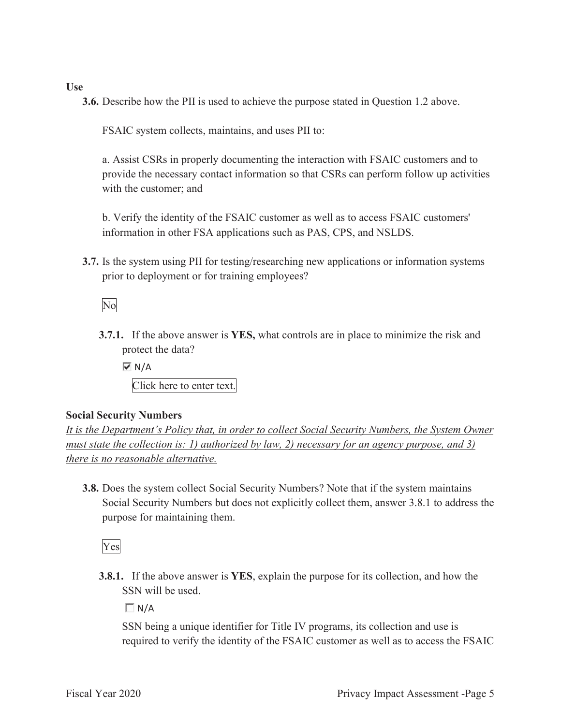#### **Use**

**3.6.** Describe how the PII is used to achieve the purpose stated in Question 1.2 above.

FSAIC system collects, maintains, and uses PII to:

a. Assist CSRs in properly documenting the interaction with FSAIC customers and to provide the necessary contact information so that CSRs can perform follow up activities with the customer; and

b. Verify the identity of the FSAIC customer as well as to access FSAIC customers' information in other FSA applications such as PAS, CPS, and NSLDS.

**3.7.** Is the system using PII for testing/researching new applications or information systems prior to deployment or for training employees?

No

**3.7.1.** If the above answer is **YES,** what controls are in place to minimize the risk and protect the data?

 $\overline{M}$  N/A Click here to enter text.

#### **Social Security Numbers**

*It is the Department's Policy that, in order to collect Social Security Numbers, the System Owner must state the collection is: 1) authorized by law, 2) necessary for an agency purpose, and 3) there is no reasonable alternative.* 

**3.8.** Does the system collect Social Security Numbers? Note that if the system maintains Social Security Numbers but does not explicitly collect them, answer 3.8.1 to address the purpose for maintaining them.

Yes

**3.8.1.** If the above answer is **YES**, explain the purpose for its collection, and how the SSN will be used.

 $\Box N/A$ 

SSN being a unique identifier for Title IV programs, its collection and use is required to verify the identity of the FSAIC customer as well as to access the FSAIC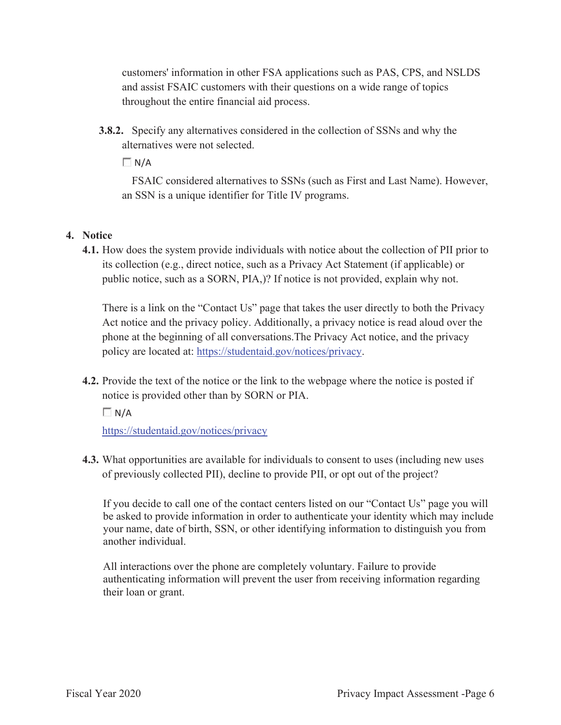customers' information in other FSA applications such as PAS, CPS, and NSLDS and assist FSAIC customers with their questions on a wide range of topics throughout the entire financial aid process.

**3.8.2.** Specify any alternatives considered in the collection of SSNs and why the alternatives were not selected.

 $\Box$  N/A

FSAIC considered alternatives to SSNs (such as First and Last Name). However, an SSN is a unique identifier for Title IV programs.

#### **4. Notice**

**4.1.** How does the system provide individuals with notice about the collection of PII prior to its collection (e.g., direct notice, such as a Privacy Act Statement (if applicable) or public notice, such as a SORN, PIA,)? If notice is not provided, explain why not.

There is a link on the "Contact Us" page that takes the user directly to both the Privacy Act notice and the privacy policy. Additionally, a privacy notice is read aloud over the phone at the beginning of all conversations.The Privacy Act notice, and the privacy policy are located at: https://studentaid.gov/notices/privacy.

**4.2.** Provide the text of the notice or the link to the webpage where the notice is posted if notice is provided other than by SORN or PIA.

 $\Box N/A$ 

https://studentaid.gov/notices/privacy

**4.3.** What opportunities are available for individuals to consent to uses (including new uses of previously collected PII), decline to provide PII, or opt out of the project?

If you decide to call one of the contact centers listed on our "Contact Us" page you will be asked to provide information in order to authenticate your identity which may include your name, date of birth, SSN, or other identifying information to distinguish you from another individual.

All interactions over the phone are completely voluntary. Failure to provide authenticating information will prevent the user from receiving information regarding their loan or grant.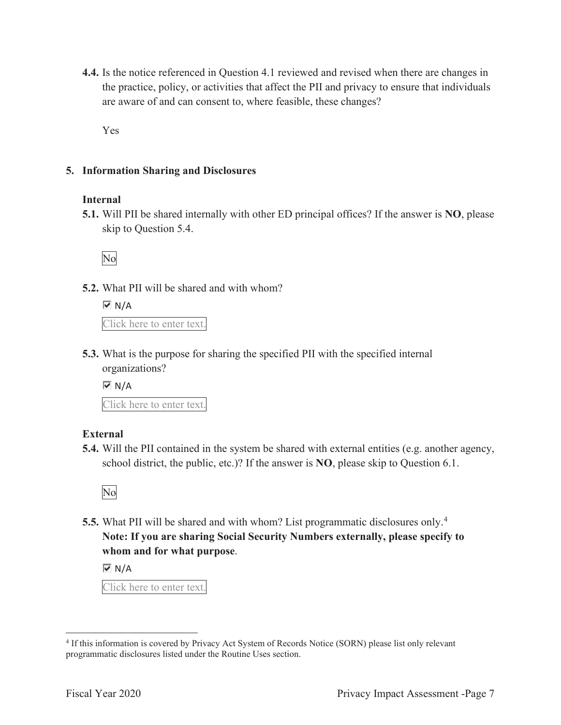**4.4.** Is the notice referenced in Question 4.1 reviewed and revised when there are changes in the practice, policy, or activities that affect the PII and privacy to ensure that individuals are aware of and can consent to, where feasible, these changes?

Yes

#### **5. Information Sharing and Disclosures**

#### **Internal**

**5.1.** Will PII be shared internally with other ED principal offices? If the answer is **NO**, please skip to Question 5.4.

No

**5.2.** What PII will be shared and with whom?

 $\overline{M}$  N/A Click here to enter text.

**5.3.** What is the purpose for sharing the specified PII with the specified internal organizations?

 $\overline{M}$  N/A

Click here to enter text.

#### **External**

**5.4.** Will the PII contained in the system be shared with external entities (e.g. another agency, school district, the public, etc.)? If the answer is **NO**, please skip to Question 6.1.

No

**5.5.** What PII will be shared and with whom? List programmatic disclosures only.<sup>4</sup> **Note: If you are sharing Social Security Numbers externally, please specify to whom and for what purpose**.

 $\overline{M}$  N/A

Click here to enter text.

<sup>4</sup> If this information is covered by Privacy Act System of Records Notice (SORN) please list only relevant programmatic disclosures listed under the Routine Uses section.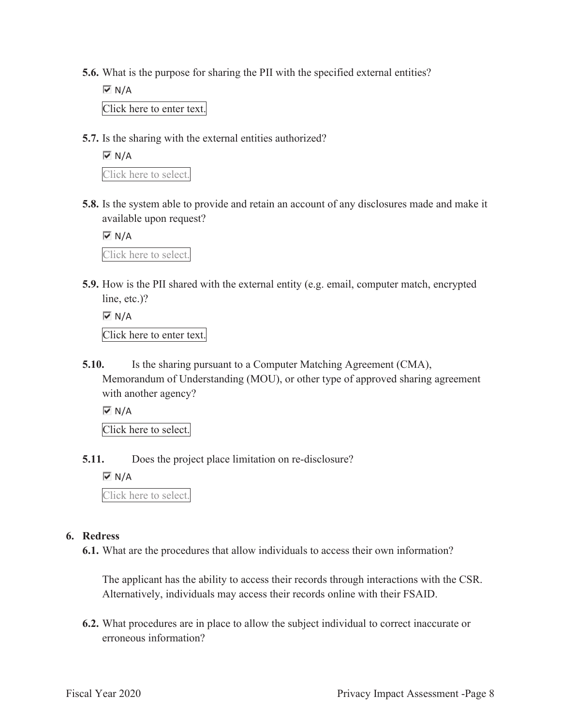**5.6.** What is the purpose for sharing the PII with the specified external entities?

 $\overline{M}$  N/A Click here to enter text.

**5.7.** Is the sharing with the external entities authorized?

 $\overline{M}$  N/A Click here to select.

**5.8.** Is the system able to provide and retain an account of any disclosures made and make it available upon request?

 $\overline{M}$  N/A

Click here to select.

**5.9.** How is the PII shared with the external entity (e.g. email, computer match, encrypted line, etc.)?

 $\overline{M}$  N/A Click here to enter text.

**5.10.** Is the sharing pursuant to a Computer Matching Agreement (CMA), Memorandum of Understanding (MOU), or other type of approved sharing agreement with another agency?

 $\overline{M}$  N/A

Click here to select.

**5.11.** Does the project place limitation on re-disclosure?

 $\overline{M}$  N/A

Click here to select.

#### **6. Redress**

**6.1.** What are the procedures that allow individuals to access their own information?

The applicant has the ability to access their records through interactions with the CSR. Alternatively, individuals may access their records online with their FSAID.

**6.2.** What procedures are in place to allow the subject individual to correct inaccurate or erroneous information?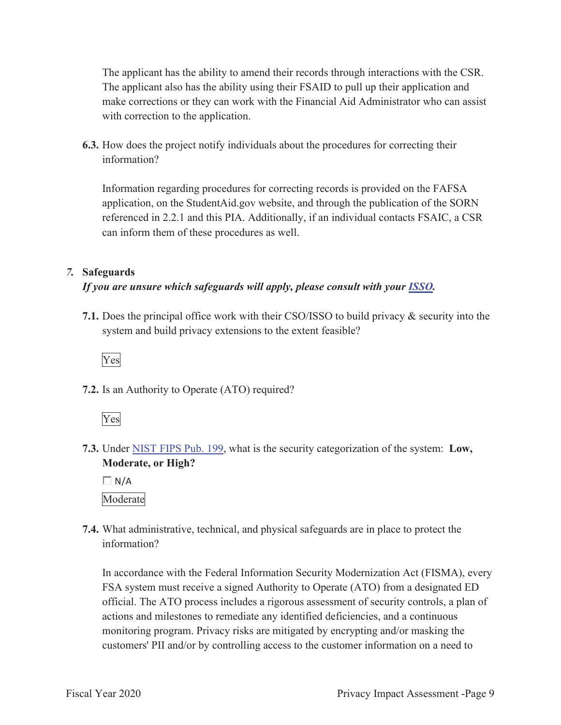The applicant has the ability to amend their records through interactions with the CSR. The applicant also has the ability using their FSAID to pull up their application and make corrections or they can work with the Financial Aid Administrator who can assist with correction to the application.

**6.3.** How does the project notify individuals about the procedures for correcting their information?

Information regarding procedures for correcting records is provided on the FAFSA application, on the StudentAid.gov website, and through the publication of the SORN referenced in 2.2.1 and this PIA. Additionally, if an individual contacts FSAIC, a CSR can inform them of these procedures as well.

#### *7.* **Safeguards**

#### *If you are unsure which safeguards will apply, please consult with your ISSO.*

**7.1.** Does the principal office work with their CSO/ISSO to build privacy & security into the system and build privacy extensions to the extent feasible?

Yes

**7.2.** Is an Authority to Operate (ATO) required?



**7.3.** Under NIST FIPS Pub. 199, what is the security categorization of the system: **Low, Moderate, or High?** 

 $\Box$  N/A Moderate

**7.4.** What administrative, technical, and physical safeguards are in place to protect the information?

In accordance with the Federal Information Security Modernization Act (FISMA), every FSA system must receive a signed Authority to Operate (ATO) from a designated ED official. The ATO process includes a rigorous assessment of security controls, a plan of actions and milestones to remediate any identified deficiencies, and a continuous monitoring program. Privacy risks are mitigated by encrypting and/or masking the customers' PII and/or by controlling access to the customer information on a need to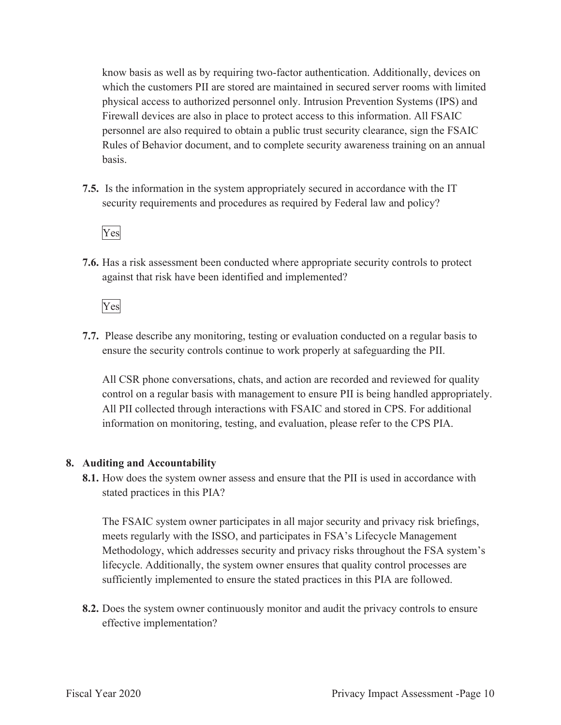know basis as well as by requiring two-factor authentication. Additionally, devices on which the customers PII are stored are maintained in secured server rooms with limited physical access to authorized personnel only. Intrusion Prevention Systems (IPS) and Firewall devices are also in place to protect access to this information. All FSAIC personnel are also required to obtain a public trust security clearance, sign the FSAIC Rules of Behavior document, and to complete security awareness training on an annual basis.

**7.5.** Is the information in the system appropriately secured in accordance with the IT security requirements and procedures as required by Federal law and policy?

#### Yes

**7.6.** Has a risk assessment been conducted where appropriate security controls to protect against that risk have been identified and implemented?

Yes

**7.7.** Please describe any monitoring, testing or evaluation conducted on a regular basis to ensure the security controls continue to work properly at safeguarding the PII.

All CSR phone conversations, chats, and action are recorded and reviewed for quality control on a regular basis with management to ensure PII is being handled appropriately. All PII collected through interactions with FSAIC and stored in CPS. For additional information on monitoring, testing, and evaluation, please refer to the CPS PIA.

#### **8. Auditing and Accountability**

**8.1.** How does the system owner assess and ensure that the PII is used in accordance with stated practices in this PIA?

The FSAIC system owner participates in all major security and privacy risk briefings, meets regularly with the ISSO, and participates in FSA's Lifecycle Management Methodology, which addresses security and privacy risks throughout the FSA system's lifecycle. Additionally, the system owner ensures that quality control processes are sufficiently implemented to ensure the stated practices in this PIA are followed.

**8.2.** Does the system owner continuously monitor and audit the privacy controls to ensure effective implementation?